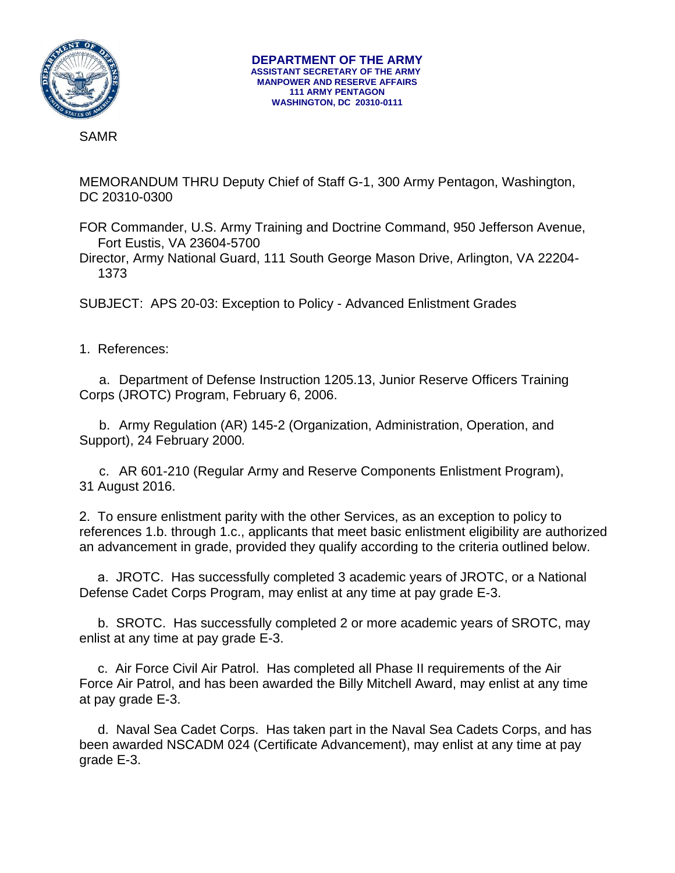

SAMR

MEMORANDUM THRU Deputy Chief of Staff G-1, 300 Army Pentagon, Washington, DC 20310-0300

FOR Commander, U.S. Army Training and Doctrine Command, 950 Jefferson Avenue, Fort Eustis, VA 23604-5700

Director, Army National Guard, 111 South George Mason Drive, Arlington, VA 22204- 1373

SUBJECT: APS 20-03: Exception to Policy - Advanced Enlistment Grades

1. References:

a. Department of Defense Instruction 1205.13, Junior Reserve Officers Training Corps (JROTC) Program, February 6, 2006.

b. Army Regulation (AR) 145-2 (Organization, Administration, Operation, and Support), 24 February 2000*.*

c. AR 601-210 (Regular Army and Reserve Components Enlistment Program), 31 August 2016.

2. To ensure enlistment parity with the other Services, as an exception to policy to references 1.b. through 1.c., applicants that meet basic enlistment eligibility are authorized an advancement in grade, provided they qualify according to the criteria outlined below.

a. JROTC. Has successfully completed 3 academic years of JROTC, or a National Defense Cadet Corps Program, may enlist at any time at pay grade E-3.

b. SROTC. Has successfully completed 2 or more academic years of SROTC, may enlist at any time at pay grade E-3.

c. Air Force Civil Air Patrol. Has completed all Phase II requirements of the Air Force Air Patrol, and has been awarded the Billy Mitchell Award, may enlist at any time at pay grade E-3.

d. Naval Sea Cadet Corps. Has taken part in the Naval Sea Cadets Corps, and has been awarded NSCADM 024 (Certificate Advancement), may enlist at any time at pay grade E-3.